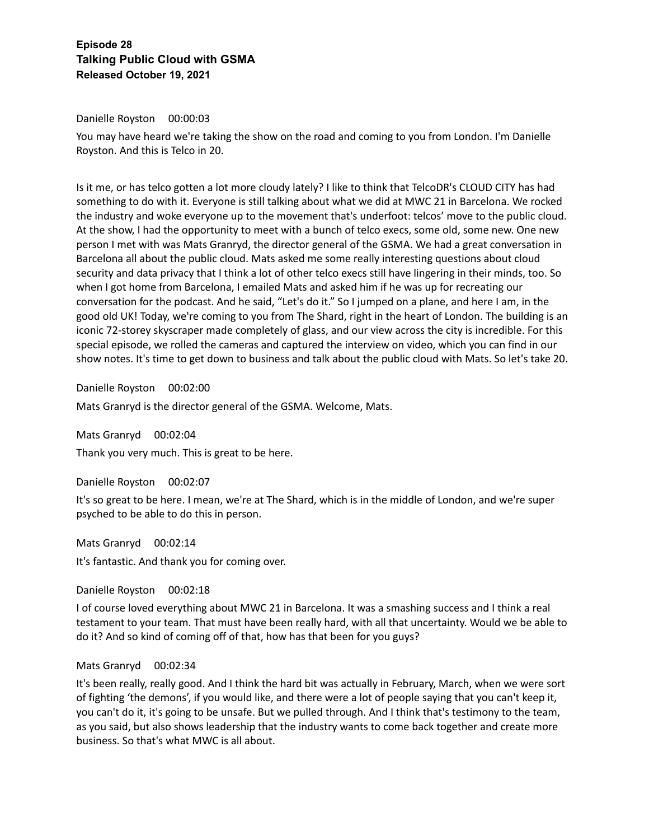## Danielle Royston 00:00:03

You may have heard we're taking the show on the road and coming to you from London. I'm Danielle Royston. And this is Telco in 20.

Is it me, or has telco gotten a lot more cloudy lately? I like to think that TelcoDR's CLOUD CITY has had something to do with it. Everyone is still talking about what we did at MWC 21 in Barcelona. We rocked the industry and woke everyone up to the movement that's underfoot: telcos' move to the public cloud. At the show, I had the opportunity to meet with a bunch of telco execs, some old, some new. One new person I met with was Mats Granryd, the director general of the GSMA. We had a great conversation in Barcelona all about the public cloud. Mats asked me some really interesting questions about cloud security and data privacy that I think a lot of other telco execs still have lingering in their minds, too. So when I got home from Barcelona, I emailed Mats and asked him if he was up for recreating our conversation for the podcast. And he said, "Let's do it." So I jumped on a plane, and here I am, in the good old UK! Today, we're coming to you from The Shard, right in the heart of London. The building is an iconic 72-storey skyscraper made completely of glass, and our view across the city is incredible. For this special episode, we rolled the cameras and captured the interview on video, which you can find in our show notes. It's time to get down to business and talk about the public cloud with Mats. So let's take 20.

Danielle Royston 00:02:00

Mats Granryd is the director general of the GSMA. Welcome, Mats.

Mats Granryd 00:02:04 Thank you very much. This is great to be here.

Danielle Royston 00:02:07

It's so great to be here. I mean, we're at The Shard, which is in the middle of London, and we're super psyched to be able to do this in person.

Mats Granryd 00:02:14 It's fantastic. And thank you for coming over.

Danielle Royston 00:02:18

I of course loved everything about MWC 21 in Barcelona. It was a smashing success and I think a real testament to your team. That must have been really hard, with all that uncertainty. Would we be able to do it? And so kind of coming off of that, how has that been for you guys?

#### Mats Granryd 00:02:34

It's been really, really good. And I think the hard bit was actually in February, March, when we were sort of fighting 'the demons', if you would like, and there were a lot of people saying that you can't keep it, you can't do it, it's going to be unsafe. But we pulled through. And I think that's testimony to the team, as you said, but also shows leadership that the industry wants to come back together and create more business. So that's what MWC is all about.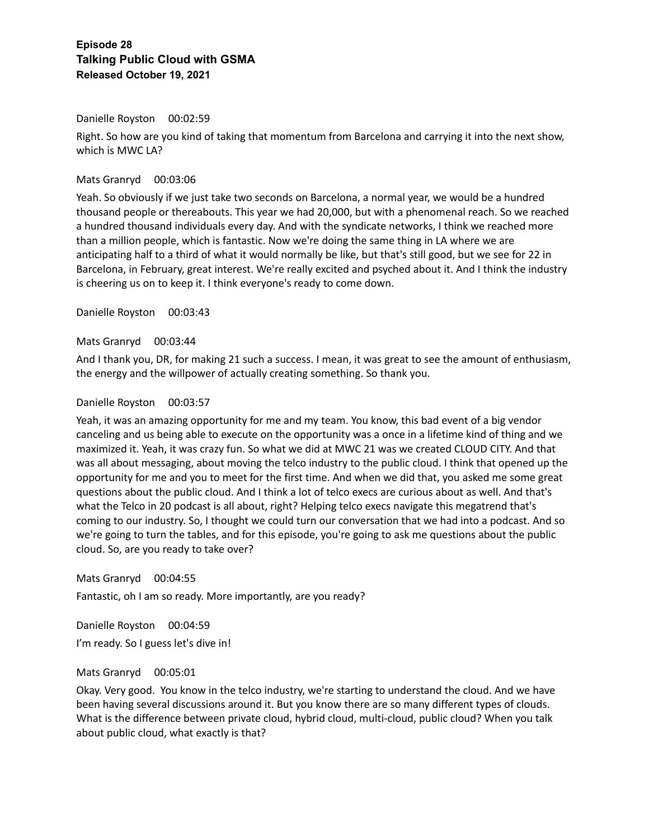#### Danielle Royston 00:02:59

Right. So how are you kind of taking that momentum from Barcelona and carrying it into the next show, which is MWC LA?

#### Mats Granryd 00:03:06

Yeah. So obviously if we just take two seconds on Barcelona, a normal year, we would be a hundred thousand people or thereabouts. This year we had 20,000, but with a phenomenal reach. So we reached a hundred thousand individuals every day. And with the syndicate networks, I think we reached more than a million people, which is fantastic. Now we're doing the same thing in LA where we are anticipating half to a third of what it would normally be like, but that's still good, but we see for 22 in Barcelona, in February, great interest. We're really excited and psyched about it. And I think the industry is cheering us on to keep it. I think everyone's ready to come down.

Danielle Royston 00:03:43

#### Mats Granryd 00:03:44

And I thank you, DR, for making 21 such a success. I mean, it was great to see the amount of enthusiasm, the energy and the willpower of actually creating something. So thank you.

#### Danielle Royston 00:03:57

Yeah, it was an amazing opportunity for me and my team. You know, this bad event of a big vendor canceling and us being able to execute on the opportunity was a once in a lifetime kind of thing and we maximized it. Yeah, it was crazy fun. So what we did at MWC 21 was we created CLOUD CITY. And that was all about messaging, about moving the telco industry to the public cloud. I think that opened up the opportunity for me and you to meet for the first time. And when we did that, you asked me some great questions about the public cloud. And I think a lot of telco execs are curious about as well. And that's what the Telco in 20 podcast is all about, right? Helping telco execs navigate this megatrend that's coming to our industry. So, I thought we could turn our conversation that we had into a podcast. And so we're going to turn the tables, and for this episode, you're going to ask me questions about the public cloud. So, are you ready to take over?

Mats Granryd 00:04:55 Fantastic, oh I am so ready. More importantly, are you ready?

Danielle Royston 00:04:59 I'm ready. So I guess let's dive in!

## Mats Granryd 00:05:01

Okay. Very good. You know in the telco industry, we're starting to understand the cloud. And we have been having several discussions around it. But you know there are so many different types of clouds. What is the difference between private cloud, hybrid cloud, multi-cloud, public cloud? When you talk about public cloud, what exactly is that?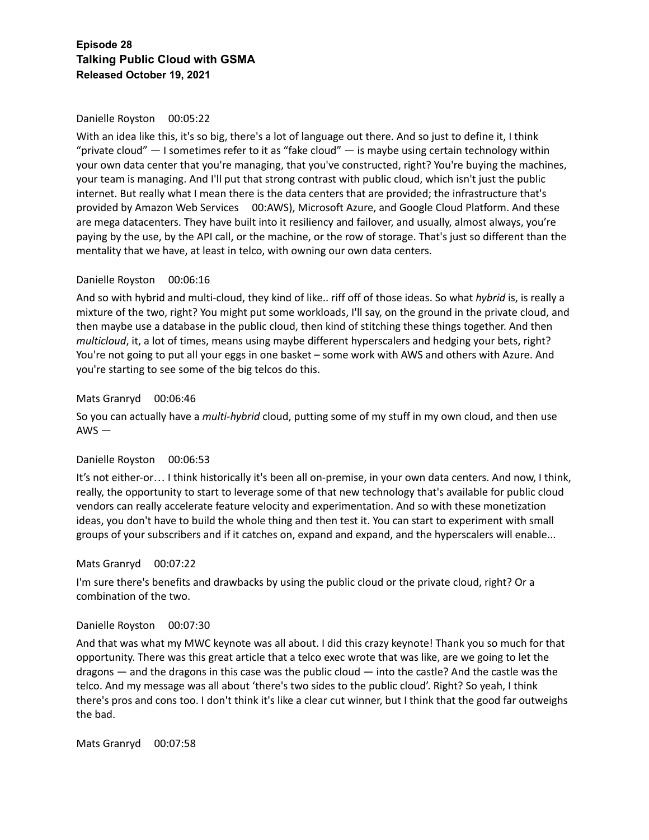## Danielle Royston 00:05:22

With an idea like this, it's so big, there's a lot of language out there. And so just to define it, I think "private cloud"  $-$  I sometimes refer to it as "fake cloud"  $-$  is maybe using certain technology within your own data center that you're managing, that you've constructed, right? You're buying the machines, your team is managing. And I'll put that strong contrast with public cloud, which isn't just the public internet. But really what I mean there is the data centers that are provided; the infrastructure that's provided by Amazon Web Services 00:AWS), Microsoft Azure, and Google Cloud Platform. And these are mega datacenters. They have built into it resiliency and failover, and usually, almost always, you're paying by the use, by the API call, or the machine, or the row of storage. That's just so different than the mentality that we have, at least in telco, with owning our own data centers.

## Danielle Royston 00:06:16

And so with hybrid and multi-cloud, they kind of like.. riff off of those ideas. So what *hybrid* is, is really a mixture of the two, right? You might put some workloads, I'll say, on the ground in the private cloud, and then maybe use a database in the public cloud, then kind of stitching these things together. And then *multicloud*, it, a lot of times, means using maybe different hyperscalers and hedging your bets, right? You're not going to put all your eggs in one basket – some work with AWS and others with Azure. And you're starting to see some of the big telcos do this.

## Mats Granryd 00:06:46

So you can actually have a *multi-hybrid* cloud, putting some of my stuff in my own cloud, and then use AWS —

#### Danielle Royston 00:06:53

It's not either-or… I think historically it's been all on-premise, in your own data centers. And now, I think, really, the opportunity to start to leverage some of that new technology that's available for public cloud vendors can really accelerate feature velocity and experimentation. And so with these monetization ideas, you don't have to build the whole thing and then test it. You can start to experiment with small groups of your subscribers and if it catches on, expand and expand, and the hyperscalers will enable...

#### Mats Granryd 00:07:22

I'm sure there's benefits and drawbacks by using the public cloud or the private cloud, right? Or a combination of the two.

#### Danielle Royston 00:07:30

And that was what my MWC keynote was all about. I did this crazy keynote! Thank you so much for that opportunity. There was this great article that a telco exec wrote that was like, are we going to let the dragons — and the dragons in this case was the public cloud — into the castle? And the castle was the telco. And my message was all about 'there's two sides to the public cloud'. Right? So yeah, I think there's pros and cons too. I don't think it's like a clear cut winner, but I think that the good far outweighs the bad.

Mats Granryd 00:07:58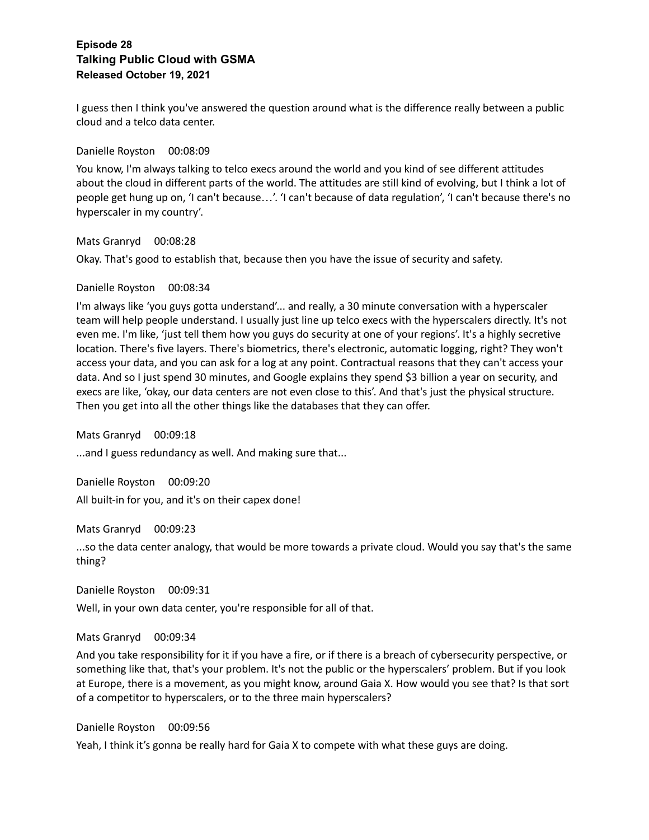I guess then I think you've answered the question around what is the difference really between a public cloud and a telco data center.

Danielle Royston 00:08:09

You know, I'm always talking to telco execs around the world and you kind of see different attitudes about the cloud in different parts of the world. The attitudes are still kind of evolving, but I think a lot of people get hung up on, 'I can't because…'. 'I can't because of data regulation', 'I can't because there's no hyperscaler in my country'.

Mats Granryd 00:08:28

Okay. That's good to establish that, because then you have the issue of security and safety.

## Danielle Royston 00:08:34

I'm always like 'you guys gotta understand'... and really, a 30 minute conversation with a hyperscaler team will help people understand. I usually just line up telco execs with the hyperscalers directly. It's not even me. I'm like, 'just tell them how you guys do security at one of your regions'. It's a highly secretive location. There's five layers. There's biometrics, there's electronic, automatic logging, right? They won't access your data, and you can ask for a log at any point. Contractual reasons that they can't access your data. And so I just spend 30 minutes, and Google explains they spend \$3 billion a year on security, and execs are like, 'okay, our data centers are not even close to this'. And that's just the physical structure. Then you get into all the other things like the databases that they can offer.

Mats Granryd 00:09:18

...and I guess redundancy as well. And making sure that...

Danielle Royston 00:09:20 All built-in for you, and it's on their capex done!

Mats Granryd 00:09:23

...so the data center analogy, that would be more towards a private cloud. Would you say that's the same thing?

Danielle Royston 00:09:31 Well, in your own data center, you're responsible for all of that.

#### Mats Granryd 00:09:34

And you take responsibility for it if you have a fire, or if there is a breach of cybersecurity perspective, or something like that, that's your problem. It's not the public or the hyperscalers' problem. But if you look at Europe, there is a movement, as you might know, around Gaia X. How would you see that? Is that sort of a competitor to hyperscalers, or to the three main hyperscalers?

Danielle Royston 00:09:56

Yeah, I think it's gonna be really hard for Gaia X to compete with what these guys are doing.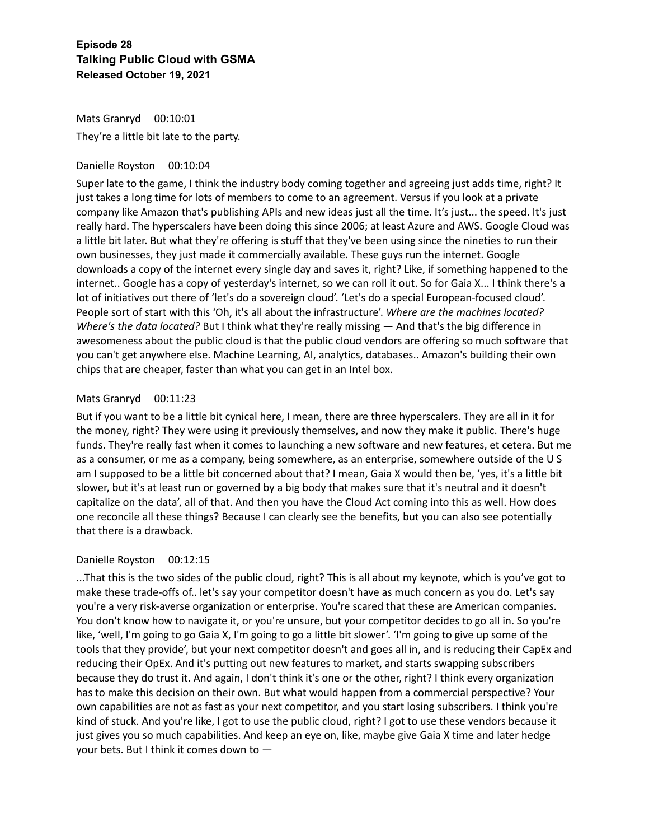Mats Granryd 00:10:01 They're a little bit late to the party.

## Danielle Royston 00:10:04

Super late to the game, I think the industry body coming together and agreeing just adds time, right? It just takes a long time for lots of members to come to an agreement. Versus if you look at a private company like Amazon that's publishing APIs and new ideas just all the time. It's just... the speed. It's just really hard. The hyperscalers have been doing this since 2006; at least Azure and AWS. Google Cloud was a little bit later. But what they're offering is stuff that they've been using since the nineties to run their own businesses, they just made it commercially available. These guys run the internet. Google downloads a copy of the internet every single day and saves it, right? Like, if something happened to the internet.. Google has a copy of yesterday's internet, so we can roll it out. So for Gaia X... I think there's a lot of initiatives out there of 'let's do a sovereign cloud'. 'Let's do a special European-focused cloud'. People sort of start with this 'Oh, it's all about the infrastructure'. *Where are the machines located? Where's the data located?* But I think what they're really missing — And that's the big difference in awesomeness about the public cloud is that the public cloud vendors are offering so much software that you can't get anywhere else. Machine Learning, AI, analytics, databases.. Amazon's building their own chips that are cheaper, faster than what you can get in an Intel box.

## Mats Granryd 00:11:23

But if you want to be a little bit cynical here, I mean, there are three hyperscalers. They are all in it for the money, right? They were using it previously themselves, and now they make it public. There's huge funds. They're really fast when it comes to launching a new software and new features, et cetera. But me as a consumer, or me as a company, being somewhere, as an enterprise, somewhere outside of the U S am I supposed to be a little bit concerned about that? I mean, Gaia X would then be, 'yes, it's a little bit slower, but it's at least run or governed by a big body that makes sure that it's neutral and it doesn't capitalize on the data', all of that. And then you have the Cloud Act coming into this as well. How does one reconcile all these things? Because I can clearly see the benefits, but you can also see potentially that there is a drawback.

## Danielle Royston 00:12:15

...That this is the two sides of the public cloud, right? This is all about my keynote, which is you've got to make these trade-offs of.. let's say your competitor doesn't have as much concern as you do. Let's say you're a very risk-averse organization or enterprise. You're scared that these are American companies. You don't know how to navigate it, or you're unsure, but your competitor decides to go all in. So you're like, 'well, I'm going to go Gaia X, I'm going to go a little bit slower'. 'I'm going to give up some of the tools that they provide', but your next competitor doesn't and goes all in, and is reducing their CapEx and reducing their OpEx. And it's putting out new features to market, and starts swapping subscribers because they do trust it. And again, I don't think it's one or the other, right? I think every organization has to make this decision on their own. But what would happen from a commercial perspective? Your own capabilities are not as fast as your next competitor, and you start losing subscribers. I think you're kind of stuck. And you're like, I got to use the public cloud, right? I got to use these vendors because it just gives you so much capabilities. And keep an eye on, like, maybe give Gaia X time and later hedge your bets. But I think it comes down to —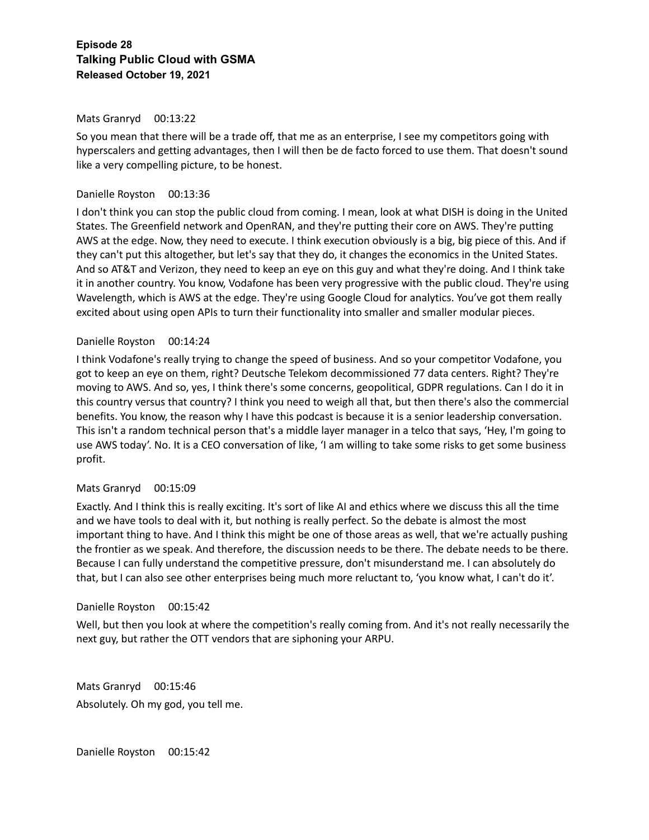#### Mats Granryd 00:13:22

So you mean that there will be a trade off, that me as an enterprise, I see my competitors going with hyperscalers and getting advantages, then I will then be de facto forced to use them. That doesn't sound like a very compelling picture, to be honest.

## Danielle Royston 00:13:36

I don't think you can stop the public cloud from coming. I mean, look at what DISH is doing in the United States. The Greenfield network and OpenRAN, and they're putting their core on AWS. They're putting AWS at the edge. Now, they need to execute. I think execution obviously is a big, big piece of this. And if they can't put this altogether, but let's say that they do, it changes the economics in the United States. And so AT&T and Verizon, they need to keep an eye on this guy and what they're doing. And I think take it in another country. You know, Vodafone has been very progressive with the public cloud. They're using Wavelength, which is AWS at the edge. They're using Google Cloud for analytics. You've got them really excited about using open APIs to turn their functionality into smaller and smaller modular pieces.

## Danielle Royston 00:14:24

I think Vodafone's really trying to change the speed of business. And so your competitor Vodafone, you got to keep an eye on them, right? Deutsche Telekom decommissioned 77 data centers. Right? They're moving to AWS. And so, yes, I think there's some concerns, geopolitical, GDPR regulations. Can I do it in this country versus that country? I think you need to weigh all that, but then there's also the commercial benefits. You know, the reason why I have this podcast is because it is a senior leadership conversation. This isn't a random technical person that's a middle layer manager in a telco that says, 'Hey, I'm going to use AWS today'. No. It is a CEO conversation of like, 'I am willing to take some risks to get some business profit.

#### Mats Granryd 00:15:09

Exactly. And I think this is really exciting. It's sort of like AI and ethics where we discuss this all the time and we have tools to deal with it, but nothing is really perfect. So the debate is almost the most important thing to have. And I think this might be one of those areas as well, that we're actually pushing the frontier as we speak. And therefore, the discussion needs to be there. The debate needs to be there. Because I can fully understand the competitive pressure, don't misunderstand me. I can absolutely do that, but I can also see other enterprises being much more reluctant to, 'you know what, I can't do it'.

#### Danielle Royston 00:15:42

Well, but then you look at where the competition's really coming from. And it's not really necessarily the next guy, but rather the OTT vendors that are siphoning your ARPU.

Mats Granryd 00:15:46 Absolutely. Oh my god, you tell me.

Danielle Royston 00:15:42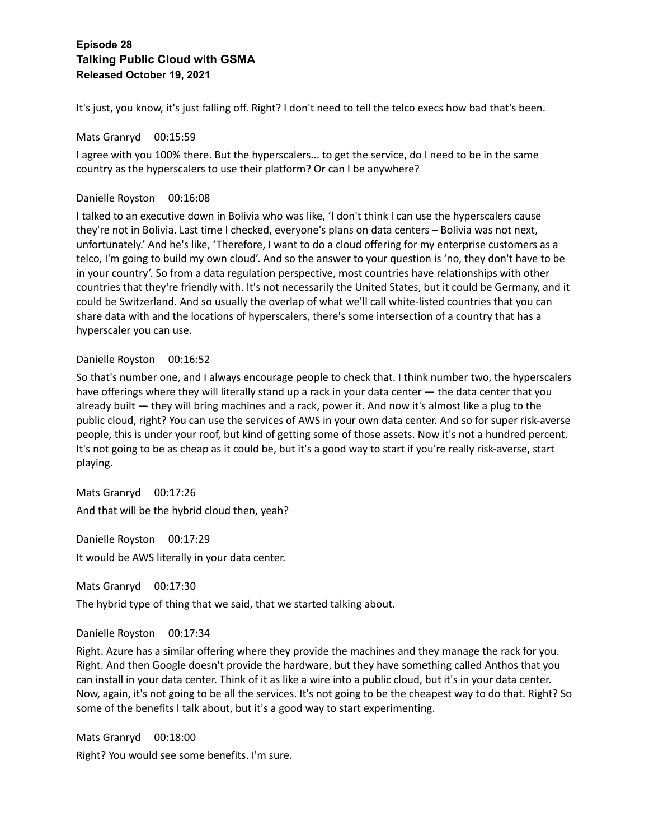It's just, you know, it's just falling off. Right? I don't need to tell the telco execs how bad that's been.

## Mats Granryd 00:15:59

I agree with you 100% there. But the hyperscalers... to get the service, do I need to be in the same country as the hyperscalers to use their platform? Or can I be anywhere?

## Danielle Royston 00:16:08

I talked to an executive down in Bolivia who was like, 'I don't think I can use the hyperscalers cause they're not in Bolivia. Last time I checked, everyone's plans on data centers – Bolivia was not next, unfortunately.' And he's like, 'Therefore, I want to do a cloud offering for my enterprise customers as a telco, I'm going to build my own cloud'. And so the answer to your question is 'no, they don't have to be in your country'. So from a data regulation perspective, most countries have relationships with other countries that they're friendly with. It's not necessarily the United States, but it could be Germany, and it could be Switzerland. And so usually the overlap of what we'll call white-listed countries that you can share data with and the locations of hyperscalers, there's some intersection of a country that has a hyperscaler you can use.

## Danielle Royston 00:16:52

So that's number one, and I always encourage people to check that. I think number two, the hyperscalers have offerings where they will literally stand up a rack in your data center — the data center that you already built — they will bring machines and a rack, power it. And now it's almost like a plug to the public cloud, right? You can use the services of AWS in your own data center. And so for super risk-averse people, this is under your roof, but kind of getting some of those assets. Now it's not a hundred percent. It's not going to be as cheap as it could be, but it's a good way to start if you're really risk-averse, start playing.

Mats Granryd 00:17:26 And that will be the hybrid cloud then, yeah?

Danielle Royston 00:17:29 It would be AWS literally in your data center.

Mats Granryd 00:17:30

The hybrid type of thing that we said, that we started talking about.

Danielle Royston 00:17:34

Right. Azure has a similar offering where they provide the machines and they manage the rack for you. Right. And then Google doesn't provide the hardware, but they have something called Anthos that you can install in your data center. Think of it as like a wire into a public cloud, but it's in your data center. Now, again, it's not going to be all the services. It's not going to be the cheapest way to do that. Right? So some of the benefits I talk about, but it's a good way to start experimenting.

Mats Granryd 00:18:00 Right? You would see some benefits. I'm sure.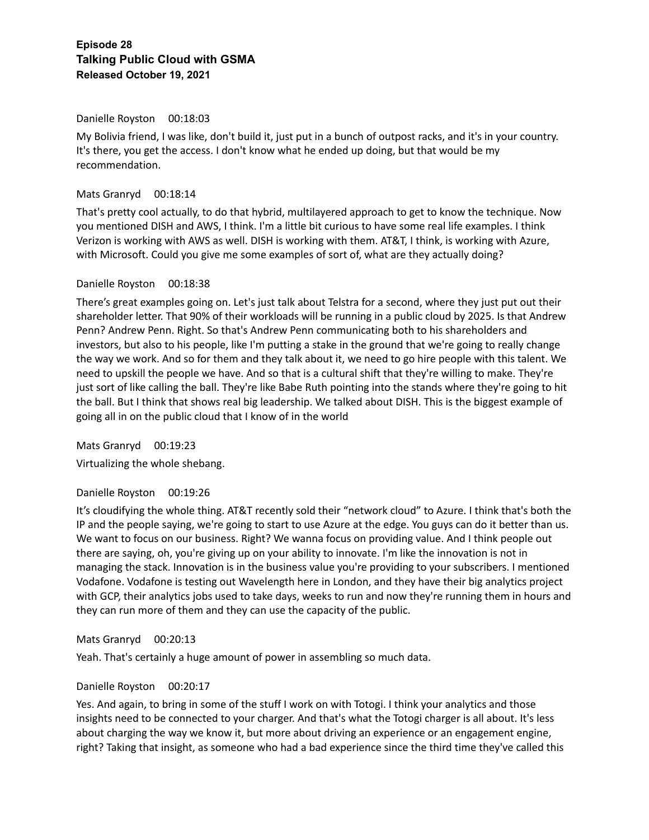#### Danielle Royston 00:18:03

My Bolivia friend, I was like, don't build it, just put in a bunch of outpost racks, and it's in your country. It's there, you get the access. I don't know what he ended up doing, but that would be my recommendation.

#### Mats Granryd 00:18:14

That's pretty cool actually, to do that hybrid, multilayered approach to get to know the technique. Now you mentioned DISH and AWS, I think. I'm a little bit curious to have some real life examples. I think Verizon is working with AWS as well. DISH is working with them. AT&T, I think, is working with Azure, with Microsoft. Could you give me some examples of sort of, what are they actually doing?

#### Danielle Royston 00:18:38

There's great examples going on. Let's just talk about Telstra for a second, where they just put out their shareholder letter. That 90% of their workloads will be running in a public cloud by 2025. Is that Andrew Penn? Andrew Penn. Right. So that's Andrew Penn communicating both to his shareholders and investors, but also to his people, like I'm putting a stake in the ground that we're going to really change the way we work. And so for them and they talk about it, we need to go hire people with this talent. We need to upskill the people we have. And so that is a cultural shift that they're willing to make. They're just sort of like calling the ball. They're like Babe Ruth pointing into the stands where they're going to hit the ball. But I think that shows real big leadership. We talked about DISH. This is the biggest example of going all in on the public cloud that I know of in the world

Mats Granryd 00:19:23 Virtualizing the whole shebang.

#### Danielle Royston 00:19:26

It's cloudifying the whole thing. AT&T recently sold their "network cloud" to Azure. I think that's both the IP and the people saying, we're going to start to use Azure at the edge. You guys can do it better than us. We want to focus on our business. Right? We wanna focus on providing value. And I think people out there are saying, oh, you're giving up on your ability to innovate. I'm like the innovation is not in managing the stack. Innovation is in the business value you're providing to your subscribers. I mentioned Vodafone. Vodafone is testing out Wavelength here in London, and they have their big analytics project with GCP, their analytics jobs used to take days, weeks to run and now they're running them in hours and they can run more of them and they can use the capacity of the public.

#### Mats Granryd 00:20:13

Yeah. That's certainly a huge amount of power in assembling so much data.

#### Danielle Royston 00:20:17

Yes. And again, to bring in some of the stuff I work on with Totogi. I think your analytics and those insights need to be connected to your charger. And that's what the Totogi charger is all about. It's less about charging the way we know it, but more about driving an experience or an engagement engine, right? Taking that insight, as someone who had a bad experience since the third time they've called this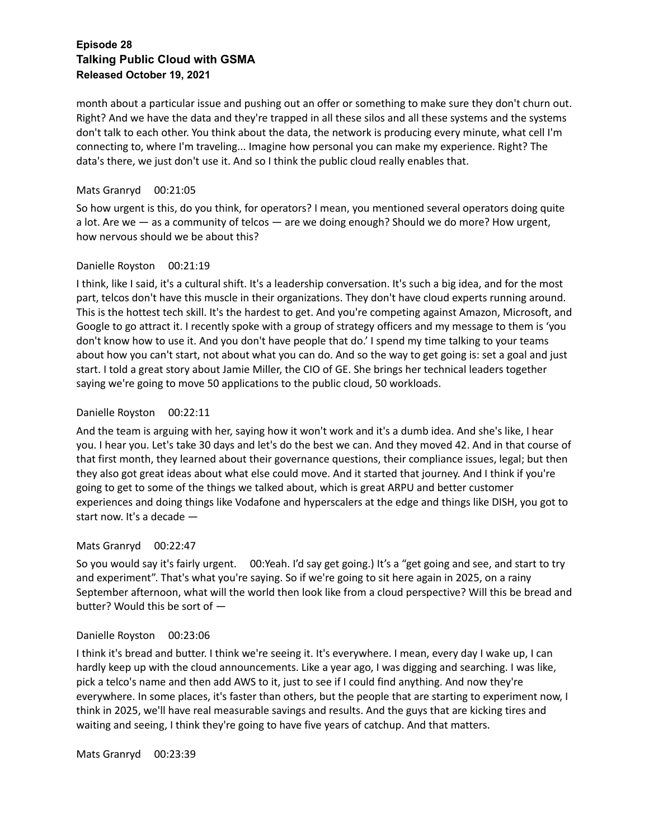month about a particular issue and pushing out an offer or something to make sure they don't churn out. Right? And we have the data and they're trapped in all these silos and all these systems and the systems don't talk to each other. You think about the data, the network is producing every minute, what cell I'm connecting to, where I'm traveling... Imagine how personal you can make my experience. Right? The data's there, we just don't use it. And so I think the public cloud really enables that.

## Mats Granryd 00:21:05

So how urgent is this, do you think, for operators? I mean, you mentioned several operators doing quite a lot. Are we — as a community of telcos — are we doing enough? Should we do more? How urgent, how nervous should we be about this?

## Danielle Royston 00:21:19

I think, like I said, it's a cultural shift. It's a leadership conversation. It's such a big idea, and for the most part, telcos don't have this muscle in their organizations. They don't have cloud experts running around. This is the hottest tech skill. It's the hardest to get. And you're competing against Amazon, Microsoft, and Google to go attract it. I recently spoke with a group of strategy officers and my message to them is 'you don't know how to use it. And you don't have people that do.' I spend my time talking to your teams about how you can't start, not about what you can do. And so the way to get going is: set a goal and just start. I told a great story about Jamie Miller, the CIO of GE. She brings her technical leaders together saying we're going to move 50 applications to the public cloud, 50 workloads.

## Danielle Royston 00:22:11

And the team is arguing with her, saying how it won't work and it's a dumb idea. And she's like, I hear you. I hear you. Let's take 30 days and let's do the best we can. And they moved 42. And in that course of that first month, they learned about their governance questions, their compliance issues, legal; but then they also got great ideas about what else could move. And it started that journey. And I think if you're going to get to some of the things we talked about, which is great ARPU and better customer experiences and doing things like Vodafone and hyperscalers at the edge and things like DISH, you got to start now. It's a decade —

## Mats Granryd 00:22:47

So you would say it's fairly urgent. 00:Yeah. I'd say get going.) It's a "get going and see, and start to try and experiment". That's what you're saying. So if we're going to sit here again in 2025, on a rainy September afternoon, what will the world then look like from a cloud perspective? Will this be bread and butter? Would this be sort of —

#### Danielle Royston 00:23:06

I think it's bread and butter. I think we're seeing it. It's everywhere. I mean, every day I wake up, I can hardly keep up with the cloud announcements. Like a year ago, I was digging and searching. I was like, pick a telco's name and then add AWS to it, just to see if I could find anything. And now they're everywhere. In some places, it's faster than others, but the people that are starting to experiment now, I think in 2025, we'll have real measurable savings and results. And the guys that are kicking tires and waiting and seeing, I think they're going to have five years of catchup. And that matters.

Mats Granryd 00:23:39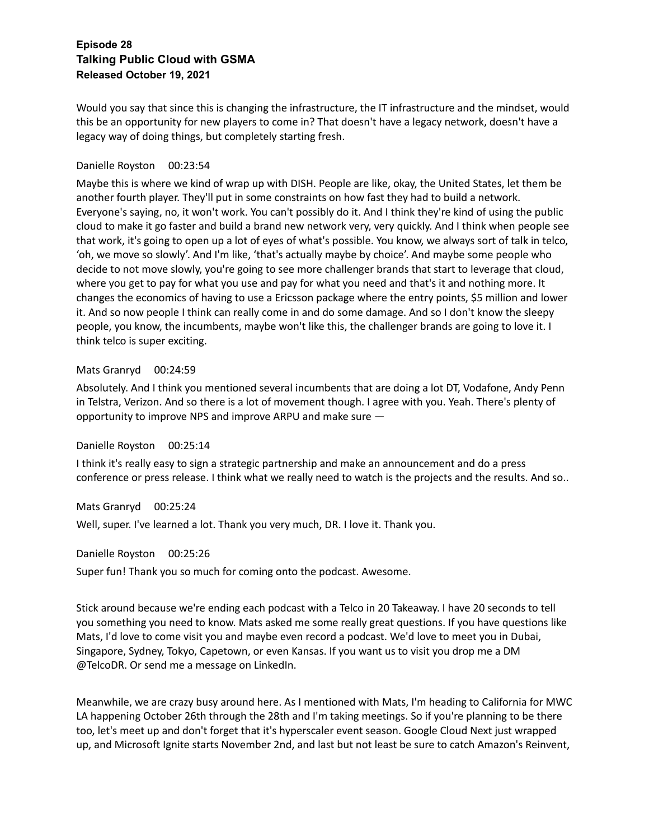Would you say that since this is changing the infrastructure, the IT infrastructure and the mindset, would this be an opportunity for new players to come in? That doesn't have a legacy network, doesn't have a legacy way of doing things, but completely starting fresh.

## Danielle Royston 00:23:54

Maybe this is where we kind of wrap up with DISH. People are like, okay, the United States, let them be another fourth player. They'll put in some constraints on how fast they had to build a network. Everyone's saying, no, it won't work. You can't possibly do it. And I think they're kind of using the public cloud to make it go faster and build a brand new network very, very quickly. And I think when people see that work, it's going to open up a lot of eyes of what's possible. You know, we always sort of talk in telco, 'oh, we move so slowly'. And I'm like, 'that's actually maybe by choice'. And maybe some people who decide to not move slowly, you're going to see more challenger brands that start to leverage that cloud, where you get to pay for what you use and pay for what you need and that's it and nothing more. It changes the economics of having to use a Ericsson package where the entry points, \$5 million and lower it. And so now people I think can really come in and do some damage. And so I don't know the sleepy people, you know, the incumbents, maybe won't like this, the challenger brands are going to love it. I think telco is super exciting.

## Mats Granryd 00:24:59

Absolutely. And I think you mentioned several incumbents that are doing a lot DT, Vodafone, Andy Penn in Telstra, Verizon. And so there is a lot of movement though. I agree with you. Yeah. There's plenty of opportunity to improve NPS and improve ARPU and make sure —

#### Danielle Royston 00:25:14

I think it's really easy to sign a strategic partnership and make an announcement and do a press conference or press release. I think what we really need to watch is the projects and the results. And so..

Mats Granryd 00:25:24

Well, super. I've learned a lot. Thank you very much, DR. I love it. Thank you.

Danielle Royston 00:25:26

Super fun! Thank you so much for coming onto the podcast. Awesome.

Stick around because we're ending each podcast with a Telco in 20 Takeaway. I have 20 seconds to tell you something you need to know. Mats asked me some really great questions. If you have questions like Mats, I'd love to come visit you and maybe even record a podcast. We'd love to meet you in Dubai, Singapore, Sydney, Tokyo, Capetown, or even Kansas. If you want us to visit you drop me a DM @TelcoDR. Or send me a message on LinkedIn.

Meanwhile, we are crazy busy around here. As I mentioned with Mats, I'm heading to California for MWC LA happening October 26th through the 28th and I'm taking meetings. So if you're planning to be there too, let's meet up and don't forget that it's hyperscaler event season. Google Cloud Next just wrapped up, and Microsoft Ignite starts November 2nd, and last but not least be sure to catch Amazon's Reinvent,